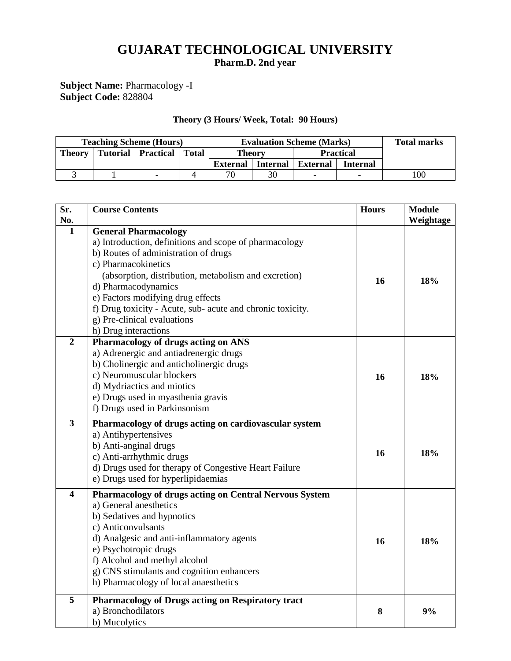## **GUJARAT TECHNOLOGICAL UNIVERSITY Pharm.D. 2nd year**

## **Subject Name:** Pharmacology -I **Subject Code:** 828804

## **Theory (3 Hours/ Week, Total: 90 Hours)**

| <b>Teaching Scheme (Hours)</b> |  |                              |  | <b>Evaluation Scheme (Marks)</b> |    |                          |                 | <b>Total marks</b> |
|--------------------------------|--|------------------------------|--|----------------------------------|----|--------------------------|-----------------|--------------------|
| <b>Theory</b>                  |  | Tutorial   Practical   Total |  | <b>Theory</b>                    |    | <b>Practical</b>         |                 |                    |
|                                |  |                              |  | <b>External</b> Internal         |    | <b>External</b>          | <b>Internal</b> |                    |
|                                |  |                              |  | 70                               | 30 | $\overline{\phantom{0}}$ |                 | 100                |

| Sr.                     | <b>Course Contents</b>                                     | <b>Hours</b> | <b>Module</b> |
|-------------------------|------------------------------------------------------------|--------------|---------------|
| No.                     |                                                            |              | Weightage     |
| $\mathbf{1}$            | <b>General Pharmacology</b>                                |              |               |
|                         | a) Introduction, definitions and scope of pharmacology     |              |               |
|                         | b) Routes of administration of drugs                       |              |               |
|                         | c) Pharmacokinetics                                        |              |               |
|                         | (absorption, distribution, metabolism and excretion)       | 16           | 18%           |
|                         | d) Pharmacodynamics                                        |              |               |
|                         | e) Factors modifying drug effects                          |              |               |
|                         | f) Drug toxicity - Acute, sub- acute and chronic toxicity. |              |               |
|                         | g) Pre-clinical evaluations                                |              |               |
|                         | h) Drug interactions                                       |              |               |
| $\overline{2}$          | Pharmacology of drugs acting on ANS                        |              |               |
|                         | a) Adrenergic and antiadrenergic drugs                     |              |               |
|                         | b) Cholinergic and anticholinergic drugs                   |              |               |
|                         | c) Neuromuscular blockers                                  | 16           | 18%           |
|                         | d) Mydriactics and miotics                                 |              |               |
|                         | e) Drugs used in myasthenia gravis                         |              |               |
|                         | f) Drugs used in Parkinsonism                              |              |               |
| $\overline{\mathbf{3}}$ | Pharmacology of drugs acting on cardiovascular system      |              |               |
|                         | a) Antihypertensives                                       |              |               |
|                         | b) Anti-anginal drugs                                      |              |               |
|                         | c) Anti-arrhythmic drugs                                   | 16           | 18%           |
|                         | d) Drugs used for therapy of Congestive Heart Failure      |              |               |
|                         | e) Drugs used for hyperlipidaemias                         |              |               |
| $\overline{\mathbf{4}}$ | Pharmacology of drugs acting on Central Nervous System     |              |               |
|                         | a) General anesthetics                                     |              |               |
|                         | b) Sedatives and hypnotics                                 |              |               |
|                         | c) Anticonvulsants                                         |              |               |
|                         | d) Analgesic and anti-inflammatory agents                  | 16           | 18%           |
|                         | e) Psychotropic drugs                                      |              |               |
|                         | f) Alcohol and methyl alcohol                              |              |               |
|                         | g) CNS stimulants and cognition enhancers                  |              |               |
|                         | h) Pharmacology of local anaesthetics                      |              |               |
| 5                       | Pharmacology of Drugs acting on Respiratory tract          |              |               |
|                         | a) Bronchodilators                                         | 8            | 9%            |
|                         | b) Mucolytics                                              |              |               |